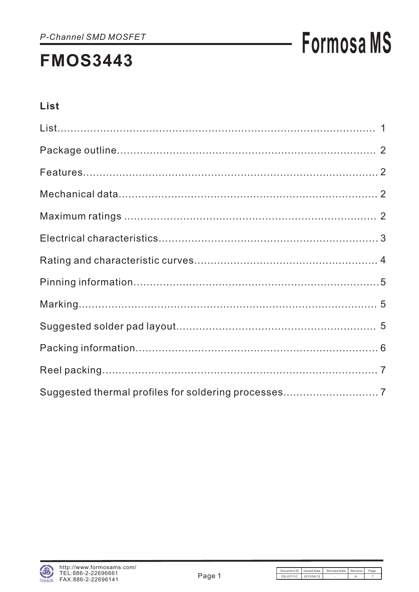# **Formosa MS**

### List

| Suggested thermal profiles for soldering processes 7 |  |
|------------------------------------------------------|--|

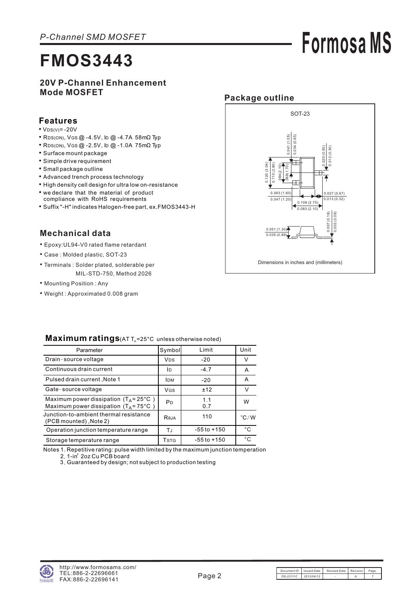### **20V P-Channel Enhancement Mode MOSFET**

#### **Features**

- $\bullet$  V<sub>DS(V)</sub> = -20V
- RDS(ON), VGS @ -4.5V, ID @ -4.7A 58mΩ Typ
- RDS(ON), VGS @ -2.5V, ID @ -1.0A 75mΩ Typ
- Surface mount package
- Simple drive requirement
- Small package outline
- Advanced trench process technology
- High density cell design for ultra low on-resistance
- we declare that the material of product
- compliance with RoHS requirements
- Suffix "-H" indicates Halogen-free part, ex.FMOS3443-H

### **Mechanical data**

- Epoxy:UL94-V0 rated flame retardant
- Case : Molded plastic, SOT-23
- Terminals : Solder plated, solderable per MIL-STD-750, Method 2026
- Mounting Position : Any
- Weight : Approximated 0.008 gram



**Formosa MS**

| Parameter                                                                                          | Symbol                | Limit           | Unit          |
|----------------------------------------------------------------------------------------------------|-----------------------|-----------------|---------------|
| Drain-source voltage                                                                               | <b>V<sub>DS</sub></b> | $-20$           | V             |
| Continuous drain current                                                                           | ID                    | $-4.7$          | A             |
| Pulsed drain current, Note 1                                                                       | <b>IDM</b>            | $-20$           | A             |
| Gate-source voltage                                                                                | VGS                   | ±12             | v             |
| Maximum power dissipation $(T_A = 25^{\circ}C)$<br>Maximum power dissipation $(T_A = 75^{\circ}C)$ | PD                    | 1.1<br>0.7      | W             |
| Junction-to-ambient thermal resistance<br>(PCB mounted), Note 2)                                   | Reja                  | 110             | $\degree$ C/W |
| Operation junction temperature range                                                               | ТJ                    | $-55$ to $+150$ | $^{\circ}C$   |
| Storage temperature range                                                                          | Tstg                  | $-55$ to $+150$ | $^{\circ}$ C  |
|                                                                                                    |                       |                 |               |

#### **Maximum ratings**( $ATT_A = 25^\circ C$  unless otherwise noted)

Notes 1. Repetitive rating: pulse width limited by the maximum junction temperation 2. 1-in $^{\rm 2}$  2oz Cu PCB board

3 Guaranteed by design; not subject to production testing .

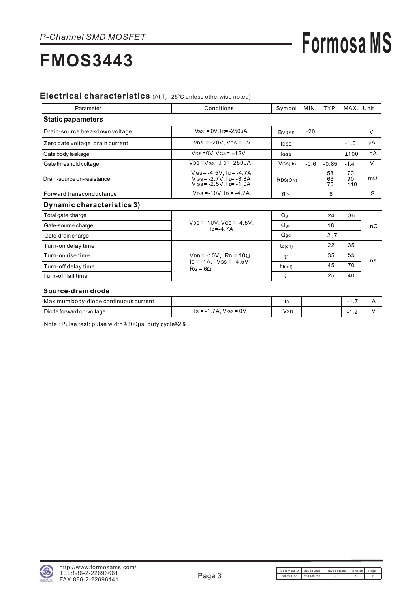## **Formosa MS**

## **FMOS3443**

#### Electrical characteristics (At T<sub>A</sub>=25°C unless otherwise noted)

| Parameter                       | Conditions                                                                              | Symbol                   | MIN.   | TYP.           | MAX.I           | Unit      |
|---------------------------------|-----------------------------------------------------------------------------------------|--------------------------|--------|----------------|-----------------|-----------|
| <b>Static papameters</b>        |                                                                                         |                          |        |                |                 |           |
| Drain-source breakdown voltage  | $V$ GS = 0V, ID= $-250\mu$ A                                                            | <b>B</b> <sub>VDSS</sub> | $-20$  |                |                 | V         |
| Zero gate voltage drain current | $V_{DS} = -20V$ , $V_{GS} = 0V$                                                         | <b>IDSS</b>              |        |                | $-1.0$          | μA        |
| Gate body leakage               | $VDS = 0V$ $VGS = \pm 12V$                                                              | lgss                     |        |                | ±100            | nA        |
| Gate threshold voltage          | $V_{DS} = V_{GS}$ , $I_{D} = -250 \mu A$                                                | VGS(th)                  | $-0.6$ | $-0.85$        | $-1.4$          | V         |
| Drain-source on-resistance      | $V$ GS = -4.5V, $I$ D = -4.7A<br>V GS = -2.7V, I D = -3.8A<br>V GS = -2.5V, I D = -1.0A | RDS(ON)                  |        | 58<br>63<br>75 | 70<br>90<br>110 | $m\Omega$ |
| Forward transconductance        | $VDS = -10V$ , $ID = -4.7A$                                                             | gfs                      |        | 8              |                 | S         |
| Dynamic characteristics 3)      |                                                                                         |                          |        |                |                 |           |
| Total gate charge               |                                                                                         | Q <sub>g</sub>           |        | 24             | 36              |           |
| Gate-source charge              | $V_{DS} = -10V$ , $V_{GS} = -4.5V$ ,<br>$In=-4.7A$                                      | $Q$ gs                   |        | 18             |                 | nC        |
| Gate-drain charge               |                                                                                         | $Q$ gd                   |        | 2.7            |                 |           |
| Turn-on delay time              |                                                                                         | $td($ on $)$             |        | 22             | 35              |           |
| Turn-on rise time               | $VDD = -10V$ , $RD = 10\Omega$                                                          | tr                       |        | 35             | 55              |           |
| Turn-off delay time             | $ID = -1A$ , $VGS = -4.5V$<br>$RG = 6\Omega$                                            | $td($ off $)$            |        | 45             | 70              | ns        |
| Turn-off fall time              |                                                                                         | tf                       |        | 25             | 40              |           |

#### Source-drain diode

| Maximum<br>i bodv-diode continuous current |                                                 | ںו         |  | - 1<br>. . |  |
|--------------------------------------------|-------------------------------------------------|------------|--|------------|--|
| Diode forward on-voltage                   | $V$ GS = $0V$<br>. .7A. <sup>\</sup><br>ls = -1 | <b>VSD</b> |  | .          |  |

Note : Pulse test: pulse width ≦300µs, duty cycle≦2%

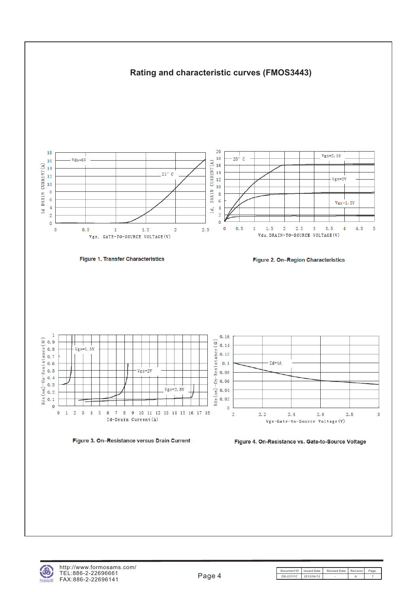



Figure 4. On-Resistance vs. Gate-to-Source Voltage

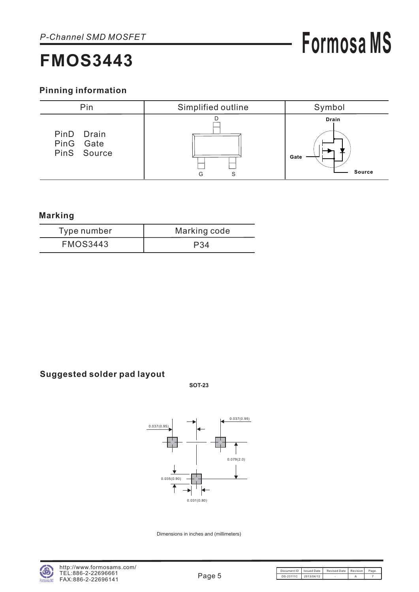# **Formosa MS**

### **Pinning information**



### **Marking**

| Type number     | Marking code |
|-----------------|--------------|
| <b>FMOS3443</b> | P34          |

### **Suggested solder pad layout**

**SOT-23**



Dimensions in inches and (millimeters)

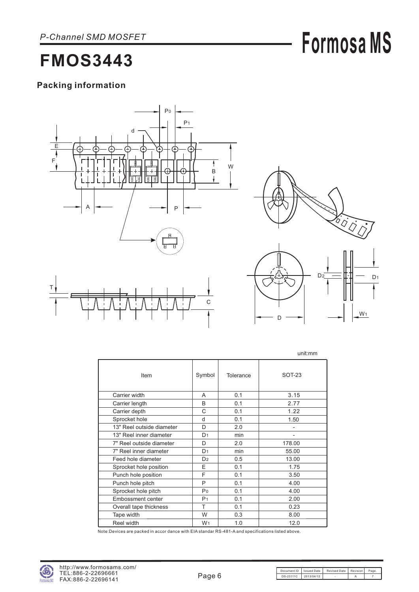# **Formosa MS**

## **FMOS3443**

### **Packing information**





W<sub>1</sub>

D

|                           |                |           | unit:mm       |
|---------------------------|----------------|-----------|---------------|
| Item                      | Symbol         | Tolerance | <b>SOT-23</b> |
| Carrier width             | A              | 0.1       | 3.15          |
| Carrier length            | B              | 0.1       | 2.77          |
| Carrier depth             | C              | 0.1       | 1.22          |
| Sprocket hole             | d              | 0.1       | 1.50          |
| 13" Reel outside diameter | D.             | 2.0       |               |
| 13" Reel inner diameter   | D <sub>1</sub> | min       |               |
| 7" Reel outside diameter  | D              | 2.0       | 178.00        |
| 7" Reel inner diameter    | D <sub>1</sub> | min       | 55.00         |
| Feed hole diameter        | D <sub>2</sub> | 0.5       | 13.00         |
| Sprocket hole position    | E              | 0.1       | 1.75          |
| Punch hole position       | F              | 0.1       | 3.50          |
| Punch hole pitch          | P              | 0.1       | 4.00          |
| Sprocket hole pitch       | P <sub>0</sub> | 0.1       | 4.00          |
| Embossment center         | P <sub>1</sub> | 0.1       | 2.00          |
| Overall tape thickness    | т              | 0.1       | 0.23          |
| Tape width                | W              | 0.3       | 8.00          |
| Reel width                | W <sub>1</sub> | 1.0       | 12.0          |

Note:Devices are packed in accor dance with EIA standar RS-481-A and specifications listed above.